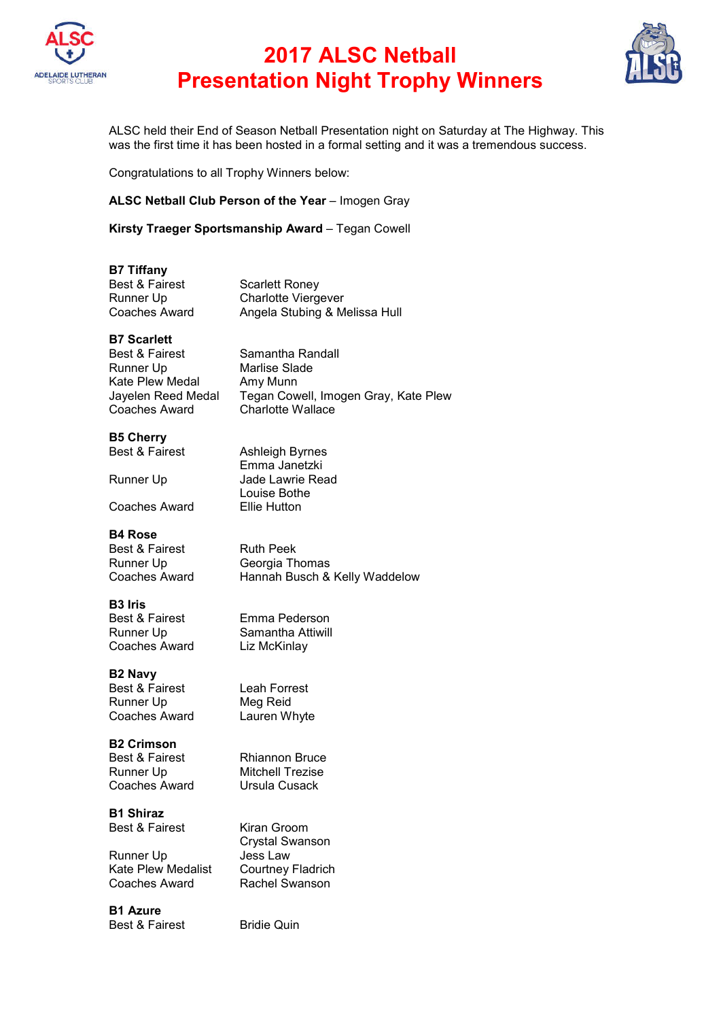

# **2017 ALSC Netball Presentation Night Trophy Winners**



ALSC held their End of Season Netball Presentation night on Saturday at The Highway. This was the first time it has been hosted in a formal setting and it was a tremendous success.

Congratulations to all Trophy Winners below:

#### **ALSC Netball Club Person of the Year** – Imogen Gray

**Kirsty Traeger Sportsmanship Award** – Tegan Cowell

#### **B7 Tiffany**

| <b>Best &amp; Fairest</b> | <b>Scarlett Roney</b>         |
|---------------------------|-------------------------------|
| Runner Up                 | <b>Charlotte Viergever</b>    |
| Coaches Award             | Angela Stubing & Melissa Hull |

#### **B7 Scarlett**

| <b>Best &amp; Fairest</b> |
|---------------------------|
| Runner Up                 |
| Kate Plew Medal           |
| Jayelen Reed Medal        |
| <b>Coaches Award</b>      |

Samantha Randall Marlise Slade Amy Munn Tegan Cowell, Imogen Gray, Kate Plew Charlotte Wallace

### **B5 Cherry**

|  | <b>Best &amp; Fairest</b> |
|--|---------------------------|
|  |                           |

Ashleigh Byrnes Emma Janetzki Runner Up **Jade Lawrie Read** Louise Bothe Coaches Award Ellie Hutton

#### **B4 Rose**

Best & Fairest **Ruth Peek**<br>Runner Up **Buller** Georgia Th

Runner Up Georgia Thomas<br>Coaches Award Hannah Busch & Hannah Busch & Kelly Waddelow

### **B3 Iris**

Best & Fairest Emma Pederson Runner Up Samantha Attiwill<br>Coaches Award Liz McKinlay Coaches Award

### **B2 Navy**

Best & Fairest Leah Forrest Runner Up Meg Reid Coaches Award Lauren Whyte

**B2 Crimson**

Best & Fairest Rhiannon Bruce Runner Up Mitchell Trezise Coaches Award Ursula Cusack

## **B1 Shiraz**

Runner Up

Kate Plew Medalist Courtney Fladrich Coaches Award Rachel Swanson

**B1 Azure** Best & Fairest Bridie Quin

Best & Fairest Kiran Groom Crystal Swanson<br>Jess Law